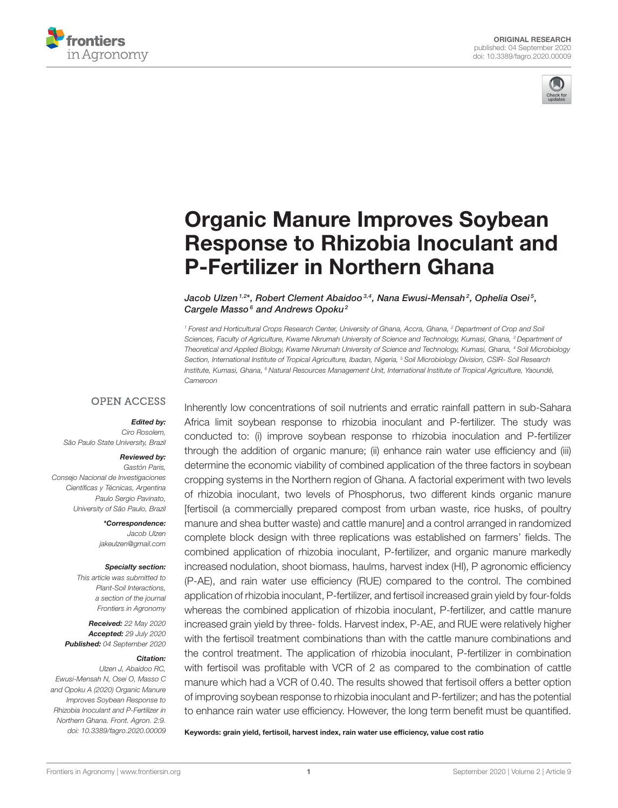



# Organic Manure Improves Soybean [Response to Rhizobia Inoculant and](https://www.frontiersin.org/articles/10.3389/fagro.2020.00009/full) P-Fertilizer in Northern Ghana

#### Jacob Ulzen $^{1,2\star}$ , Robert Clement Abaidoo $^{3,4}$ , Nana Ewusi-Mensah $^2$ , Ophelia Osei $^5$ , Cargele Masso<sup>6</sup> and Andrews Opoku<sup>2</sup>

<sup>1</sup> Forest and Horticultural Crops Research Center, University of Ghana, Accra, Ghana, <sup>2</sup> Department of Crop and Soil Sciences, Faculty of Agriculture, Kwame Nkrumah University of Science and Technology, Kumasi, Ghana, <sup>3</sup> Department of Theoretical and Applied Biology, Kwame Nkrumah University of Science and Technology, Kumasi, Ghana, <sup>4</sup> Soil Microbiology Section, International Institute of Tropical Agriculture, Ibadan, Nigeria, <sup>5</sup> Soil Microbiology Division, CSIR- Soil Research Institute, Kumasi, Ghana, <sup>6</sup> Natural Resources Management Unit, International Institute of Tropical Agriculture, Yaoundé, Cameroon

#### **OPEN ACCESS**

#### Edited by:

Ciro Rosolem, São Paulo State University, Brazil

#### Reviewed by:

Gastón Paris, Consejo Nacional de Investigaciones Científicas y Técnicas, Argentina Paulo Sergio Pavinato, University of São Paulo, Brazil

> \*Correspondence: Jacob Ulzen [jakeulzen@gmail.com](mailto:jakeulzen@gmail.com)

#### Specialty section:

This article was submitted to Plant-Soil Interactions, a section of the journal Frontiers in Agronomy

Received: 22 May 2020 Accepted: 29 July 2020 Published: 04 September 2020

#### Citation:

Ulzen J, Abaidoo RC, Ewusi-Mensah N, Osei O, Masso C and Opoku A (2020) Organic Manure Improves Soybean Response to Rhizobia Inoculant and P-Fertilizer in Northern Ghana. Front. Agron. 2:9. doi: [10.3389/fagro.2020.00009](https://doi.org/10.3389/fagro.2020.00009) Inherently low concentrations of soil nutrients and erratic rainfall pattern in sub-Sahara Africa limit soybean response to rhizobia inoculant and P-fertilizer. The study was conducted to: (i) improve soybean response to rhizobia inoculation and P-fertilizer through the addition of organic manure; (ii) enhance rain water use efficiency and (iii) determine the economic viability of combined application of the three factors in soybean cropping systems in the Northern region of Ghana. A factorial experiment with two levels of rhizobia inoculant, two levels of Phosphorus, two different kinds organic manure [fertisoil (a commercially prepared compost from urban waste, rice husks, of poultry manure and shea butter waste) and cattle manure] and a control arranged in randomized complete block design with three replications was established on farmers' fields. The combined application of rhizobia inoculant, P-fertilizer, and organic manure markedly increased nodulation, shoot biomass, haulms, harvest index (HI), P agronomic efficiency (P-AE), and rain water use efficiency (RUE) compared to the control. The combined application of rhizobia inoculant, P-fertilizer, and fertisoil increased grain yield by four-folds whereas the combined application of rhizobia inoculant, P-fertilizer, and cattle manure increased grain yield by three- folds. Harvest index, P-AE, and RUE were relatively higher with the fertisoil treatment combinations than with the cattle manure combinations and the control treatment. The application of rhizobia inoculant, P-fertilizer in combination with fertisoil was profitable with VCR of 2 as compared to the combination of cattle manure which had a VCR of 0.40. The results showed that fertisoil offers a better option of improving soybean response to rhizobia inoculant and P-fertilizer; and has the potential to enhance rain water use efficiency. However, the long term benefit must be quantified.

Keywords: grain yield, fertisoil, harvest index, rain water use efficiency, value cost ratio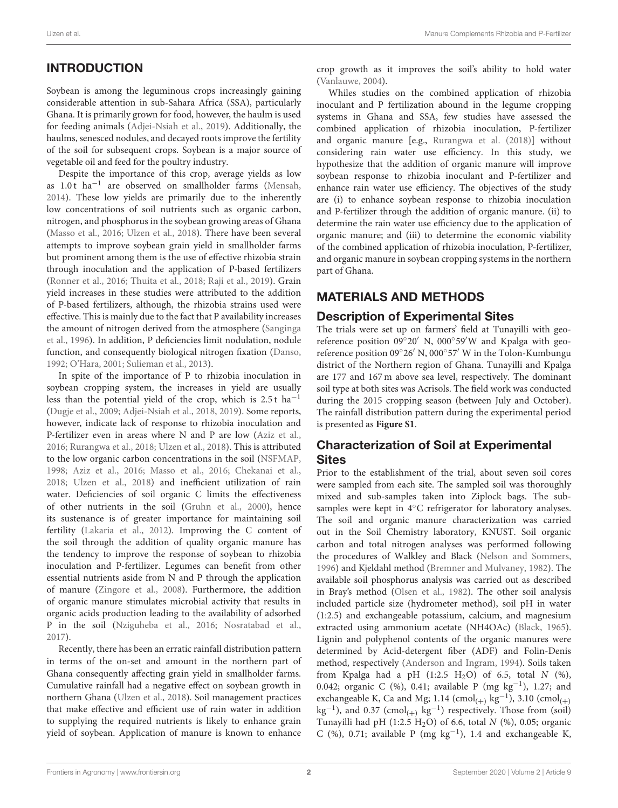# INTRODUCTION

Soybean is among the leguminous crops increasingly gaining considerable attention in sub-Sahara Africa (SSA), particularly Ghana. It is primarily grown for food, however, the haulm is used for feeding animals [\(Adjei-Nsiah et al., 2019\)](#page-8-0). Additionally, the haulms, senesced nodules, and decayed roots improve the fertility of the soil for subsequent crops. Soybean is a major source of vegetable oil and feed for the poultry industry.

Despite the importance of this crop, average yields as low as 1.0t ha<sup>-1</sup> are observed on smallholder farms [\(Mensah,](#page-8-1) [2014\)](#page-8-1). These low yields are primarily due to the inherently low concentrations of soil nutrients such as organic carbon, nitrogen, and phosphorus in the soybean growing areas of Ghana [\(Masso et al., 2016;](#page-8-2) [Ulzen et al., 2018\)](#page-9-0). There have been several attempts to improve soybean grain yield in smallholder farms but prominent among them is the use of effective rhizobia strain through inoculation and the application of P-based fertilizers [\(Ronner et al., 2016;](#page-9-1) [Thuita et al., 2018;](#page-9-2) [Raji et al., 2019\)](#page-9-3). Grain yield increases in these studies were attributed to the addition of P-based fertilizers, although, the rhizobia strains used were effective. This is mainly due to the fact that P availability increases the amount of nitrogen derived from the atmosphere (Sanginga et al., [1996\)](#page-9-4). In addition, P deficiencies limit nodulation, nodule function, and consequently biological nitrogen fixation [\(Danso,](#page-8-3) [1992;](#page-8-3) [O'Hara, 2001;](#page-9-5) [Sulieman et al., 2013\)](#page-9-6).

In spite of the importance of P to rhizobia inoculation in soybean cropping system, the increases in yield are usually less than the potential yield of the crop, which is  $2.5 t$  ha<sup>-1</sup> [\(Dugje et al., 2009;](#page-8-4) [Adjei-Nsiah et al., 2018,](#page-8-5) [2019\)](#page-8-0). Some reports, however, indicate lack of response to rhizobia inoculation and P-fertilizer even in areas where N and P are low [\(Aziz et al.,](#page-8-6) [2016;](#page-8-6) [Rurangwa et al., 2018;](#page-9-7) [Ulzen et al., 2018\)](#page-9-0). This is attributed to the low organic carbon concentrations in the soil [\(NSFMAP,](#page-8-7) [1998;](#page-8-7) [Aziz et al., 2016;](#page-8-6) [Masso et al., 2016;](#page-8-2) [Chekanai et al.,](#page-8-8) [2018;](#page-8-8) [Ulzen et al., 2018\)](#page-9-0) and inefficient utilization of rain water. Deficiencies of soil organic C limits the effectiveness of other nutrients in the soil [\(Gruhn et al., 2000\)](#page-8-9), hence its sustenance is of greater importance for maintaining soil fertility [\(Lakaria et al., 2012\)](#page-8-10). Improving the C content of the soil through the addition of quality organic manure has the tendency to improve the response of soybean to rhizobia inoculation and P-fertilizer. Legumes can benefit from other essential nutrients aside from N and P through the application of manure [\(Zingore et al., 2008\)](#page-9-8). Furthermore, the addition of organic manure stimulates microbial activity that results in organic acids production leading to the availability of adsorbed P in the soil [\(Nziguheba et al., 2016;](#page-8-11) [Nosratabad et al.,](#page-8-12) [2017\)](#page-8-12).

Recently, there has been an erratic rainfall distribution pattern in terms of the on-set and amount in the northern part of Ghana consequently affecting grain yield in smallholder farms. Cumulative rainfall had a negative effect on soybean growth in northern Ghana [\(Ulzen et al., 2018\)](#page-9-0). Soil management practices that make effective and efficient use of rain water in addition to supplying the required nutrients is likely to enhance grain yield of soybean. Application of manure is known to enhance crop growth as it improves the soil's ability to hold water [\(Vanlauwe, 2004\)](#page-9-9).

Whiles studies on the combined application of rhizobia inoculant and P fertilization abound in the legume cropping systems in Ghana and SSA, few studies have assessed the combined application of rhizobia inoculation, P-fertilizer and organic manure [e.g., [Rurangwa et al. \(2018\)](#page-9-7)] without considering rain water use efficiency. In this study, we hypothesize that the addition of organic manure will improve soybean response to rhizobia inoculant and P-fertilizer and enhance rain water use efficiency. The objectives of the study are (i) to enhance soybean response to rhizobia inoculation and P-fertilizer through the addition of organic manure. (ii) to determine the rain water use efficiency due to the application of organic manure; and (iii) to determine the economic viability of the combined application of rhizobia inoculation, P-fertilizer, and organic manure in soybean cropping systems in the northern part of Ghana.

# MATERIALS AND METHODS

### Description of Experimental Sites

The trials were set up on farmers' field at Tunayilli with georeference position 09°20' N, 000°59'W and Kpalga with georeference position 09◦ 26′ N, 000◦ 57′ W in the Tolon-Kumbungu district of the Northern region of Ghana. Tunayilli and Kpalga are 177 and 167 m above sea level, respectively. The dominant soil type at both sites was Acrisols. The field work was conducted during the 2015 cropping season (between July and October). The rainfall distribution pattern during the experimental period is presented as **[Figure S1](#page-8-13)**.

# Characterization of Soil at Experimental **Sites**

Prior to the establishment of the trial, about seven soil cores were sampled from each site. The sampled soil was thoroughly mixed and sub-samples taken into Ziplock bags. The subsamples were kept in 4℃ refrigerator for laboratory analyses. The soil and organic manure characterization was carried out in the Soil Chemistry laboratory, KNUST. Soil organic carbon and total nitrogen analyses was performed following the procedures of Walkley and Black [\(Nelson and Sommers,](#page-8-14) [1996\)](#page-8-14) and Kjeldahl method [\(Bremner and Mulvaney, 1982\)](#page-8-15). The available soil phosphorus analysis was carried out as described in Bray's method [\(Olsen et al., 1982\)](#page-9-10). The other soil analysis included particle size (hydrometer method), soil pH in water (1:2.5) and exchangeable potassium, calcium, and magnesium extracted using ammonium acetate (NH4OAc) [\(Black, 1965\)](#page-8-16). Lignin and polyphenol contents of the organic manures were determined by Acid-detergent fiber (ADF) and Folin-Denis method, respectively [\(Anderson and Ingram, 1994\)](#page-8-17). Soils taken from Kpalga had a pH  $(1:2.5 \text{ H}_2\text{O})$  of 6.5, total N  $(\%)$ , 0.042; organic C (%), 0.41; available P (mg kg−<sup>1</sup> ), 1.27; and exchangeable K, Ca and Mg; 1.14 (cmol<sub>(+)</sub> kg<sup>-1</sup>), 3.10 (cmol<sub>(+)</sub>  $kg^{-1}$ ), and 0.37 (cmol<sub>(+)</sub>  $kg^{-1}$ ) respectively. Those from (soil) Tunayilli had pH (1:2.5 H<sub>2</sub>O) of 6.6, total  $N$  (%), 0.05; organic C (%), 0.71; available P (mg kg−<sup>1</sup> ), 1.4 and exchangeable K,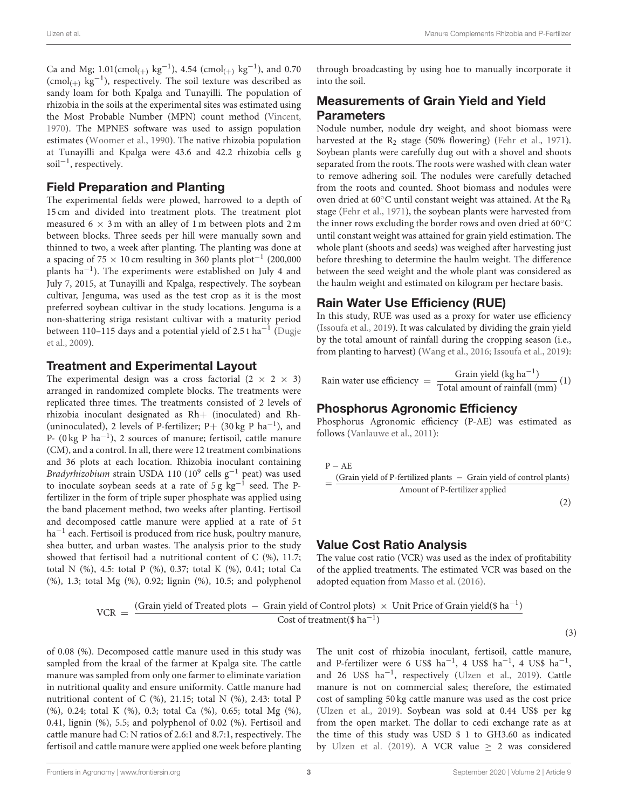Ca and Mg;  $1.01$ (cmol<sub>(+)</sub> kg<sup>-1</sup>), 4.54 (cmol<sub>(+)</sub> kg<sup>-1</sup>), and 0.70  $(\text{cmol}_{(+)}\ \text{kg}^{-1})$ , respectively. The soil texture was described as sandy loam for both Kpalga and Tunayilli. The population of rhizobia in the soils at the experimental sites was estimated using the Most Probable Number (MPN) count method [\(Vincent,](#page-9-11) [1970\)](#page-9-11). The MPNES software was used to assign population estimates [\(Woomer et al., 1990\)](#page-9-12). The native rhizobia population at Tunayilli and Kpalga were 43.6 and 42.2 rhizobia cells g soil−<sup>1</sup> , respectively.

### Field Preparation and Planting

The experimental fields were plowed, harrowed to a depth of 15 cm and divided into treatment plots. The treatment plot measured  $6 \times 3$  m with an alley of 1 m between plots and 2 m between blocks. Three seeds per hill were manually sown and thinned to two, a week after planting. The planting was done at a spacing of 75  $\times$  10 cm resulting in 360 plants plot<sup>-1</sup> (200,000 plants ha<sup>-1</sup>). The experiments were established on July 4 and July 7, 2015, at Tunayilli and Kpalga, respectively. The soybean cultivar, Jenguma, was used as the test crop as it is the most preferred soybean cultivar in the study locations. Jenguma is a non-shattering striga resistant cultivar with a maturity period between 110–115 days and a potential yield of 2.5 t ha $^{-1}$  (Dugje et al., [2009\)](#page-8-4).

# Treatment and Experimental Layout

The experimental design was a cross factorial  $(2 \times 2 \times 3)$ arranged in randomized complete blocks. The treatments were replicated three times. The treatments consisted of 2 levels of rhizobia inoculant designated as Rh+ (inoculated) and Rh- (uninoculated), 2 levels of P-fertilizer; P+ (30 kg P  $ha^{-1}$ ), and P- (0 kg P ha<sup>-1</sup>), 2 sources of manure; fertisoil, cattle manure (CM), and a control. In all, there were 12 treatment combinations and 36 plots at each location. Rhizobia inoculant containing Bradyrhizobium strain USDA 110 (10<sup>9</sup> cells  $g^{-1}$  peat) was used to inoculate soybean seeds at a rate of 5 g  $\text{kg}^{-1}$  seed. The Pfertilizer in the form of triple super phosphate was applied using the band placement method, two weeks after planting. Fertisoil and decomposed cattle manure were applied at a rate of 5 t ha−<sup>1</sup> each. Fertisoil is produced from rice husk, poultry manure, shea butter, and urban wastes. The analysis prior to the study showed that fertisoil had a nutritional content of C (%), 11.7; total N (%), 4.5: total P (%), 0.37; total K (%), 0.41; total Ca (%), 1.3; total Mg (%), 0.92; lignin (%), 10.5; and polyphenol through broadcasting by using hoe to manually incorporate it into the soil.

# Measurements of Grain Yield and Yield **Parameters**

Nodule number, nodule dry weight, and shoot biomass were harvested at the  $R_2$  stage (50% flowering) [\(Fehr et al., 1971\)](#page-8-18). Soybean plants were carefully dug out with a shovel and shoots separated from the roots. The roots were washed with clean water to remove adhering soil. The nodules were carefully detached from the roots and counted. Shoot biomass and nodules were oven dried at 60 $°C$  until constant weight was attained. At the R<sub>8</sub> stage [\(Fehr et al., 1971\)](#page-8-18), the soybean plants were harvested from the inner rows excluding the border rows and oven dried at 60◦C until constant weight was attained for grain yield estimation. The whole plant (shoots and seeds) was weighed after harvesting just before threshing to determine the haulm weight. The difference between the seed weight and the whole plant was considered as the haulm weight and estimated on kilogram per hectare basis.

# Rain Water Use Efficiency (RUE)

In this study, RUE was used as a proxy for water use efficiency [\(Issoufa et al., 2019\)](#page-8-19). It was calculated by dividing the grain yield by the total amount of rainfall during the cropping season (i.e., from planting to harvest) [\(Wang et al., 2016;](#page-9-13) [Issoufa et al., 2019\)](#page-8-19):

Rain water use efficiency = 
$$
\frac{\text{Grain yield (kg ha}^{-1})}{\text{Total amount of rainfall (mm)}}
$$
(1)

# Phosphorus Agronomic Efficiency

Phosphorus Agronomic efficiency (P-AE) was estimated as follows [\(Vanlauwe et al., 2011\)](#page-9-14):

$$
P - AE
$$
  
= 
$$
\frac{(Grain yield of P-fertilized plants - Grain yield of control plants)}{Amount of P-fertilizer applied}
$$
 (2)

# Value Cost Ratio Analysis

The value cost ratio (VCR) was used as the index of profitability of the applied treatments. The estimated VCR was based on the adopted equation from [Masso et al. \(2016\)](#page-8-2).

$$
VCR = \frac{(Grain yield of Treated plots - Grain yield of Control plots) \times Unit Price of Grain yield ($ha^{-1}$)} Cost of treatment ($ha^{-1}$)
$$

of 0.08 (%). Decomposed cattle manure used in this study was sampled from the kraal of the farmer at Kpalga site. The cattle manure was sampled from only one farmer to eliminate variation in nutritional quality and ensure uniformity. Cattle manure had nutritional content of C (%), 21.15; total N (%), 2.43: total P (%), 0.24; total K (%), 0.3; total Ca (%), 0.65; total Mg (%), 0.41, lignin (%), 5.5; and polyphenol of 0.02 (%). Fertisoil and cattle manure had C: N ratios of 2.6:1 and 8.7:1, respectively. The fertisoil and cattle manure were applied one week before planting The unit cost of rhizobia inoculant, fertisoil, cattle manure, and P-fertilizer were 6 US\$  $ha^{-1}$ , 4 US\$  $ha^{-1}$ , 4 US\$  $ha^{-1}$ , and 26 US\$ ha−<sup>1</sup> , respectively [\(Ulzen et al., 2019\)](#page-9-15). Cattle manure is not on commercial sales; therefore, the estimated cost of sampling 50 kg cattle manure was used as the cost price [\(Ulzen et al., 2019\)](#page-9-15). Soybean was sold at 0.44 US\$ per kg from the open market. The dollar to cedi exchange rate as at the time of this study was USD \$ 1 to GH3.60 as indicated by [Ulzen et al. \(2019\)](#page-9-15). A VCR value  $\geq$  2 was considered

(3)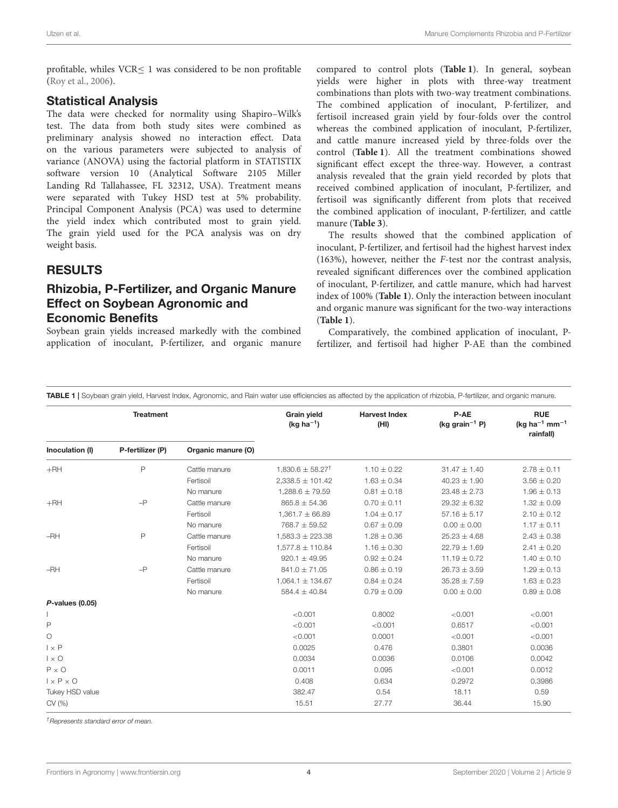profitable, whiles VCR≤ 1 was considered to be non profitable [\(Roy et al., 2006\)](#page-9-16).

#### Statistical Analysis

The data were checked for normality using Shapiro–Wilk's test. The data from both study sites were combined as preliminary analysis showed no interaction effect. Data on the various parameters were subjected to analysis of variance (ANOVA) using the factorial platform in STATISTIX software version 10 (Analytical Software 2105 Miller Landing Rd Tallahassee, FL 32312, USA). Treatment means were separated with Tukey HSD test at 5% probability. Principal Component Analysis (PCA) was used to determine the yield index which contributed most to grain yield. The grain yield used for the PCA analysis was on dry weight basis.

#### **RESULTS**

### Rhizobia, P-Fertilizer, and Organic Manure Effect on Soybean Agronomic and Economic Benefits

Soybean grain yields increased markedly with the combined application of inoculant, P-fertilizer, and organic manure compared to control plots (**[Table 1](#page-3-0)**). In general, soybean yields were higher in plots with three-way treatment combinations than plots with two-way treatment combinations. The combined application of inoculant, P-fertilizer, and fertisoil increased grain yield by four-folds over the control whereas the combined application of inoculant, P-fertilizer, and cattle manure increased yield by three-folds over the control (**[Table 1](#page-3-0)**). All the treatment combinations showed significant effect except the three-way. However, a contrast analysis revealed that the grain yield recorded by plots that received combined application of inoculant, P-fertilizer, and fertisoil was significantly different from plots that received the combined application of inoculant, P-fertilizer, and cattle manure (**[Table 3](#page-5-0)**).

The results showed that the combined application of inoculant, P-fertilizer, and fertisoil had the highest harvest index (163%), however, neither the F-test nor the contrast analysis, revealed significant differences over the combined application of inoculant, P-fertilizer, and cattle manure, which had harvest index of 100% (**[Table 1](#page-3-0)**). Only the interaction between inoculant and organic manure was significant for the two-way interactions (**[Table 1](#page-3-0)**).

Comparatively, the combined application of inoculant, Pfertilizer, and fertisoil had higher P-AE than the combined

<span id="page-3-0"></span>TABLE 1 | Soybean grain yield, Harvest Index, Agronomic, and Rain water use efficiencies as affected by the application of rhizobia, P-fertilizer, and organic manure.

| <b>Treatment</b>      |                  |                    | <b>Grain yield</b><br>(kg ha <sup>-1</sup> ) | <b>Harvest Index</b><br>(HI) | P-AE<br>(kg grain <sup>-1</sup> P) | <b>RUE</b><br>(kg ha <sup>-1</sup> mm <sup>-1</sup><br>rainfall) |  |
|-----------------------|------------------|--------------------|----------------------------------------------|------------------------------|------------------------------------|------------------------------------------------------------------|--|
| Inoculation (I)       | P-fertilizer (P) | Organic manure (O) |                                              |                              |                                    |                                                                  |  |
| $+RH$                 | P                | Cattle manure      | $1,830.6 \pm 58.27^{\dagger}$                | $1.10 \pm 0.22$              | $31.47 \pm 1.40$                   | $2.78 \pm 0.11$                                                  |  |
|                       |                  | Fertisoil          | $2,338.5 \pm 101.42$                         | $1.63 \pm 0.34$              | $40.23 \pm 1.90$                   | $3.56 \pm 0.20$                                                  |  |
|                       |                  | No manure          | $1,288.6 \pm 79.59$                          | $0.81 \pm 0.18$              | $23.48 \pm 2.73$                   | $1.96 \pm 0.13$                                                  |  |
| $+RH$                 | $-P$             | Cattle manure      | $865.8 \pm 54.36$                            | $0.70 \pm 0.11$              | $29.32 \pm 6.32$                   | $1.32 \pm 0.09$                                                  |  |
|                       |                  | Fertisoil          | $1,361.7 \pm 66.89$                          | $1.04 \pm 0.17$              | $57.16 \pm 5.17$                   | $2.10 \pm 0.12$                                                  |  |
|                       |                  | No manure          | $768.7 \pm 59.52$                            | $0.67 \pm 0.09$              | $0.00 \pm 0.00$                    | $1.17 \pm 0.11$                                                  |  |
| $-RH$                 | P                | Cattle manure      | $1,583.3 \pm 223.38$                         | $1.28 \pm 0.36$              | $25.23 \pm 4.68$                   | $2.43 \pm 0.38$                                                  |  |
|                       |                  | Fertisoil          | $1,577.8 \pm 110.84$                         | $1.16 \pm 0.30$              | $22.79 \pm 1.69$                   | $2.41 \pm 0.20$                                                  |  |
|                       |                  | No manure          | $920.1 \pm 49.95$                            | $0.92 \pm 0.24$              | $11.19 \pm 0.72$                   | $1.40 \pm 0.10$                                                  |  |
| $-RH$                 | $-P$             | Cattle manure      | $841.0 \pm 71.05$                            | $0.86 \pm 0.19$              | $26.73 \pm 3.59$                   | $1.29 \pm 0.13$                                                  |  |
|                       |                  | Fertisoil          | $1,064.1 \pm 134.67$                         | $0.84 \pm 0.24$              | $35.28 \pm 7.59$                   | $1.63 \pm 0.23$                                                  |  |
|                       |                  | No manure          | $584.4 \pm 40.84$                            | $0.79 \pm 0.09$              | $0.00 \pm 0.00$                    | $0.89 \pm 0.08$                                                  |  |
| $P$ -values (0.05)    |                  |                    |                                              |                              |                                    |                                                                  |  |
|                       |                  |                    | < 0.001                                      | 0.8002                       | < 0.001                            | < 0.001                                                          |  |
| P                     |                  |                    | < 0.001                                      | < 0.001                      | 0.6517                             | < 0.001                                                          |  |
| $\circ$               |                  |                    | < 0.001                                      | 0.0001                       | < 0.001                            | < 0.001                                                          |  |
| $1 \times P$          |                  |                    | 0.0025                                       | 0.476                        | 0.3801                             | 0.0036                                                           |  |
| $1 \times 0$          |                  |                    | 0.0034                                       | 0.0036                       | 0.0106                             | 0.0042                                                           |  |
| $P \times Q$          |                  |                    | 0.0011                                       | 0.095                        | < 0.001                            | 0.0012                                                           |  |
| $1 \times P \times O$ |                  |                    | 0.408                                        | 0.634                        | 0.2972                             | 0.3986                                                           |  |
| Tukey HSD value       |                  |                    | 382.47                                       | 0.54                         | 18.11                              | 0.59                                                             |  |
| CV(%)                 |                  |                    | 15.51                                        | 27.77                        | 36.44                              | 15.90                                                            |  |

†Represents standard error of mean.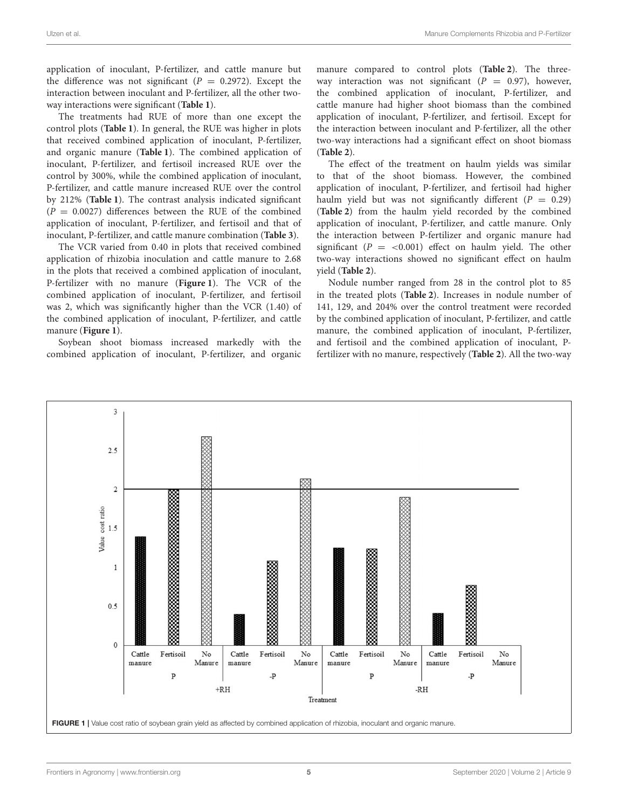application of inoculant, P-fertilizer, and cattle manure but the difference was not significant ( $P = 0.2972$ ). Except the interaction between inoculant and P-fertilizer, all the other twoway interactions were significant (**[Table 1](#page-3-0)**).

The treatments had RUE of more than one except the control plots (**[Table 1](#page-3-0)**). In general, the RUE was higher in plots that received combined application of inoculant, P-fertilizer, and organic manure (**[Table 1](#page-3-0)**). The combined application of inoculant, P-fertilizer, and fertisoil increased RUE over the control by 300%, while the combined application of inoculant, P-fertilizer, and cattle manure increased RUE over the control by 212% (**[Table 1](#page-3-0)**). The contrast analysis indicated significant  $(P = 0.0027)$  differences between the RUE of the combined application of inoculant, P-fertilizer, and fertisoil and that of inoculant, P-fertilizer, and cattle manure combination (**[Table 3](#page-5-0)**).

The VCR varied from 0.40 in plots that received combined application of rhizobia inoculation and cattle manure to 2.68 in the plots that received a combined application of inoculant, P-fertilizer with no manure (**[Figure 1](#page-4-0)**). The VCR of the combined application of inoculant, P-fertilizer, and fertisoil was 2, which was significantly higher than the VCR (1.40) of the combined application of inoculant, P-fertilizer, and cattle manure (**[Figure 1](#page-4-0)**).

Soybean shoot biomass increased markedly with the combined application of inoculant, P-fertilizer, and organic manure compared to control plots (**[Table 2](#page-5-1)**). The threeway interaction was not significant ( $P = 0.97$ ), however, the combined application of inoculant, P-fertilizer, and cattle manure had higher shoot biomass than the combined application of inoculant, P-fertilizer, and fertisoil. Except for the interaction between inoculant and P-fertilizer, all the other two-way interactions had a significant effect on shoot biomass (**[Table 2](#page-5-1)**).

The effect of the treatment on haulm yields was similar to that of the shoot biomass. However, the combined application of inoculant, P-fertilizer, and fertisoil had higher haulm yield but was not significantly different ( $P = 0.29$ ) (**[Table 2](#page-5-1)**) from the haulm yield recorded by the combined application of inoculant, P-fertilizer, and cattle manure. Only the interaction between P-fertilizer and organic manure had significant ( $P = < 0.001$ ) effect on haulm yield. The other two-way interactions showed no significant effect on haulm yield (**[Table 2](#page-5-1)**).

Nodule number ranged from 28 in the control plot to 85 in the treated plots (**[Table 2](#page-5-1)**). Increases in nodule number of 141, 129, and 204% over the control treatment were recorded by the combined application of inoculant, P-fertilizer, and cattle manure, the combined application of inoculant, P-fertilizer, and fertisoil and the combined application of inoculant, Pfertilizer with no manure, respectively (**[Table 2](#page-5-1)**). All the two-way

<span id="page-4-0"></span>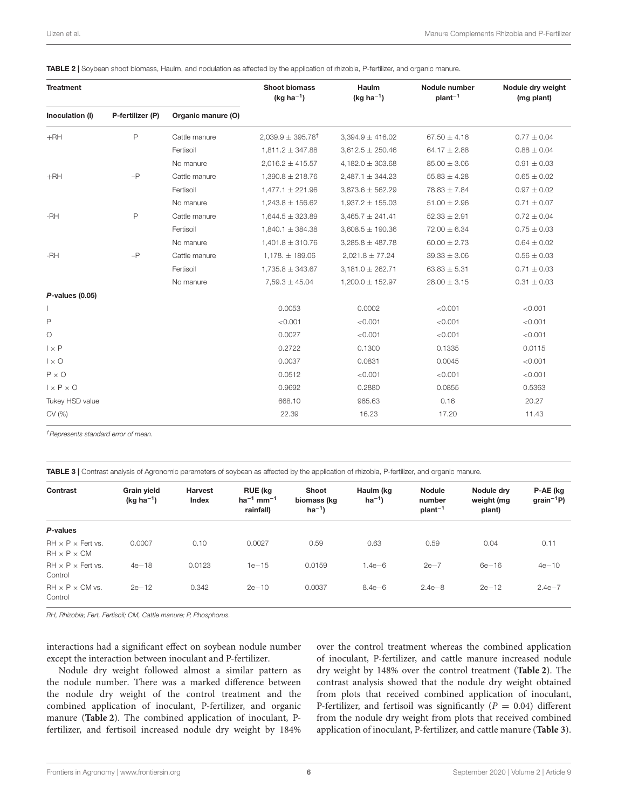<span id="page-5-1"></span>

| TABLE 2   Soybean shoot biomass, Haulm, and nodulation as affected by the application of rhizobia, P-fertilizer, and organic manure |  |  |  |
|-------------------------------------------------------------------------------------------------------------------------------------|--|--|--|
|                                                                                                                                     |  |  |  |

| <b>Treatment</b>      |                  |                    | <b>Shoot biomass</b><br>(kg ha <sup>-1</sup> ) | Haulm<br>$(kq ha^{-1})$ | Nodule number<br>$plant^{-1}$ | Nodule dry weight<br>(mg plant) |  |
|-----------------------|------------------|--------------------|------------------------------------------------|-------------------------|-------------------------------|---------------------------------|--|
| Inoculation (I)       | P-fertilizer (P) | Organic manure (O) |                                                |                         |                               |                                 |  |
| $+RH$                 | $\mathsf{P}$     | Cattle manure      | $2,039.9 \pm 395.78$ <sup>†</sup>              | $3,394.9 \pm 416.02$    | $67.50 \pm 4.16$              | $0.77 \pm 0.04$                 |  |
|                       |                  | Fertisoil          | $1,811.2 \pm 347.88$                           | $3,612.5 \pm 250.46$    | $64.17 \pm 2.88$              | $0.88 \pm 0.04$                 |  |
|                       |                  | No manure          | $2,016.2 \pm 415.57$                           | $4,182.0 \pm 303.68$    | $85.00 \pm 3.06$              | $0.91 \pm 0.03$                 |  |
| $+RH$                 | $-P$             | Cattle manure      | $1,390.8 \pm 218.76$                           | $2,487.1 \pm 344.23$    | $55.83 \pm 4.28$              | $0.65 \pm 0.02$                 |  |
|                       |                  | Fertisoil          | $1,477.1 \pm 221.96$                           | $3,873.6 \pm 562.29$    | $78.83 \pm 7.84$              | $0.97 \pm 0.02$                 |  |
|                       |                  | No manure          | $1,243.8 \pm 156.62$                           | $1,937.2 \pm 155.03$    | $51.00 \pm 2.96$              | $0.71 \pm 0.07$                 |  |
| $-RH$                 | $\mathsf{P}$     | Cattle manure      | $1,644.5 \pm 323.89$                           | $3,465.7 \pm 241.41$    | $52.33 \pm 2.91$              | $0.72 \pm 0.04$                 |  |
|                       |                  | Fertisoil          | $1,840.1 \pm 384.38$                           | $3,608.5 \pm 190.36$    | $72.00 \pm 6.34$              | $0.75 \pm 0.03$                 |  |
|                       |                  | No manure          | $1,401.8 \pm 310.76$                           | $3,285.8 \pm 487.78$    | $60.00 \pm 2.73$              | $0.64 \pm 0.02$                 |  |
| $-RH$                 | $-P$             | Cattle manure      | $1,178. \pm 189.06$                            | $2,021.8 \pm 77.24$     | $39.33 \pm 3.06$              | $0.56 \pm 0.03$                 |  |
|                       |                  | Fertisoil          | $1,735.8 \pm 343.67$                           | $3,181.0 \pm 262.71$    | $63.83 \pm 5.31$              | $0.71 \pm 0.03$                 |  |
|                       |                  | No manure          | $7,59.3 \pm 45.04$                             | $1,200.0 \pm 152.97$    | $28.00 \pm 3.15$              | $0.31 \pm 0.03$                 |  |
| $P$ -values (0.05)    |                  |                    |                                                |                         |                               |                                 |  |
|                       |                  |                    | 0.0053                                         | 0.0002                  | < 0.001                       | < 0.001                         |  |
| P                     |                  |                    | < 0.001                                        | < 0.001                 | < 0.001                       | < 0.001                         |  |
| $\circ$               |                  |                    | 0.0027                                         | < 0.001                 | < 0.001                       | < 0.001                         |  |
| $1 \times P$          |                  |                    | 0.2722                                         | 0.1300                  | 0.1335                        | 0.0115                          |  |
| $1 \times Q$          |                  |                    | 0.0037                                         | 0.0831                  | 0.0045                        | < 0.001                         |  |
| $P \times Q$          |                  |                    | 0.0512                                         | < 0.001                 | < 0.001                       | < 0.001                         |  |
| $1 \times P \times O$ |                  |                    | 0.9692                                         | 0.2880                  | 0.0855                        | 0.5363                          |  |
| Tukey HSD value       |                  |                    | 668.10                                         | 965.63                  | 0.16                          | 20.27                           |  |
| CV (%)                |                  |                    | 22.39                                          | 16.23                   | 17.20                         | 11.43                           |  |

†Represents standard error of mean.

<span id="page-5-0"></span>TABLE 3 | Contrast analysis of Agronomic parameters of soybean as affected by the application of rhizobia, P-fertilizer, and organic manure.

| Contrast                                                 | <b>Grain yield</b><br>(kg ha $^{-1}$ ) | <b>Harvest</b><br>Index | <b>RUE</b> (kg<br>$ha^{-1}$ mm <sup>-1</sup><br>rainfall) | Shoot<br>biomass (kg<br>$ha^{-1}$ | Haulm (kg<br>$ha^{-1}$ | <b>Nodule</b><br>number<br>plan <sup>1</sup> | Nodule drv<br>weight (mg<br>plant) | P-AE (kg<br>$grain^{-1}P$ |
|----------------------------------------------------------|----------------------------------------|-------------------------|-----------------------------------------------------------|-----------------------------------|------------------------|----------------------------------------------|------------------------------------|---------------------------|
| P-values                                                 |                                        |                         |                                                           |                                   |                        |                                              |                                    |                           |
|                                                          |                                        |                         |                                                           |                                   |                        |                                              |                                    |                           |
| $RH \times P \times$ Fert vs.<br>$RH \times P \times CM$ | 0.0007                                 | 0.10                    | 0.0027                                                    | 0.59                              | 0.63                   | 0.59                                         | 0.04                               | 0.11                      |
| $RH \times P \times$ Fert vs.<br>Control                 | $4e - 18$                              | 0.0123                  | $1e - 15$                                                 | 0.0159                            | $1.4e-6$               | $2e-7$                                       | $6e - 16$                          | $4e - 10$                 |
| $RH \times P \times CM$ vs.<br>Control                   | $2e - 12$                              | 0.342                   | $2e - 10$                                                 | 0.0037                            | $8.4e - 6$             | $2.4e - 8$                                   | $2e - 12$                          | $2.4e - 7$                |

RH, Rhizobia; Fert, Fertisoil; CM, Cattle manure; P, Phosphorus.

interactions had a significant effect on soybean nodule number except the interaction between inoculant and P-fertilizer.

Nodule dry weight followed almost a similar pattern as the nodule number. There was a marked difference between the nodule dry weight of the control treatment and the combined application of inoculant, P-fertilizer, and organic manure (**[Table 2](#page-5-1)**). The combined application of inoculant, Pfertilizer, and fertisoil increased nodule dry weight by 184% over the control treatment whereas the combined application of inoculant, P-fertilizer, and cattle manure increased nodule dry weight by 148% over the control treatment (**[Table 2](#page-5-1)**). The contrast analysis showed that the nodule dry weight obtained from plots that received combined application of inoculant, P-fertilizer, and fertisoil was significantly ( $P = 0.04$ ) different from the nodule dry weight from plots that received combined application of inoculant, P-fertilizer, and cattle manure (**[Table 3](#page-5-0)**).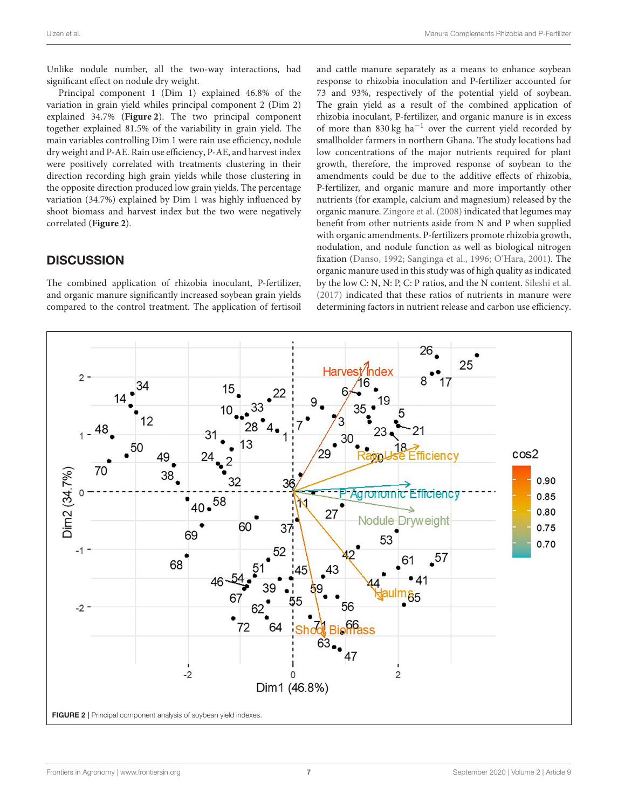Unlike nodule number, all the two-way interactions, had significant effect on nodule dry weight.

Principal component 1 (Dim 1) explained 46.8% of the variation in grain yield whiles principal component 2 (Dim 2) explained 34.7% (**[Figure 2](#page-6-0)**). The two principal component together explained 81.5% of the variability in grain yield. The main variables controlling Dim 1 were rain use efficiency, nodule dry weight and P-AE. Rain use efficiency, P-AE, and harvest index were positively correlated with treatments clustering in their direction recording high grain yields while those clustering in the opposite direction produced low grain yields. The percentage variation (34.7%) explained by Dim 1 was highly influenced by shoot biomass and harvest index but the two were negatively correlated (**[Figure 2](#page-6-0)**).

# **DISCUSSION**

The combined application of rhizobia inoculant, P-fertilizer, and organic manure significantly increased soybean grain yields compared to the control treatment. The application of fertisoil and cattle manure separately as a means to enhance soybean response to rhizobia inoculation and P-fertilizer accounted for 73 and 93%, respectively of the potential yield of soybean. The grain yield as a result of the combined application of rhizobia inoculant, P-fertilizer, and organic manure is in excess of more than 830 kg ha−<sup>1</sup> over the current yield recorded by smallholder farmers in northern Ghana. The study locations had low concentrations of the major nutrients required for plant growth, therefore, the improved response of soybean to the amendments could be due to the additive effects of rhizobia, P-fertilizer, and organic manure and more importantly other nutrients (for example, calcium and magnesium) released by the organic manure. [Zingore et al. \(2008\)](#page-9-8) indicated that legumes may benefit from other nutrients aside from N and P when supplied with organic amendments. P-fertilizers promote rhizobia growth, nodulation, and nodule function as well as biological nitrogen fixation [\(Danso, 1992;](#page-8-3) [Sanginga et al., 1996;](#page-9-4) [O'Hara, 2001\)](#page-9-5). The organic manure used in this study was of high quality as indicated by the low C: N, N: P, C: P ratios, and the N content. [Sileshi et al.](#page-9-17) [\(2017\)](#page-9-17) indicated that these ratios of nutrients in manure were determining factors in nutrient release and carbon use efficiency.

<span id="page-6-0"></span>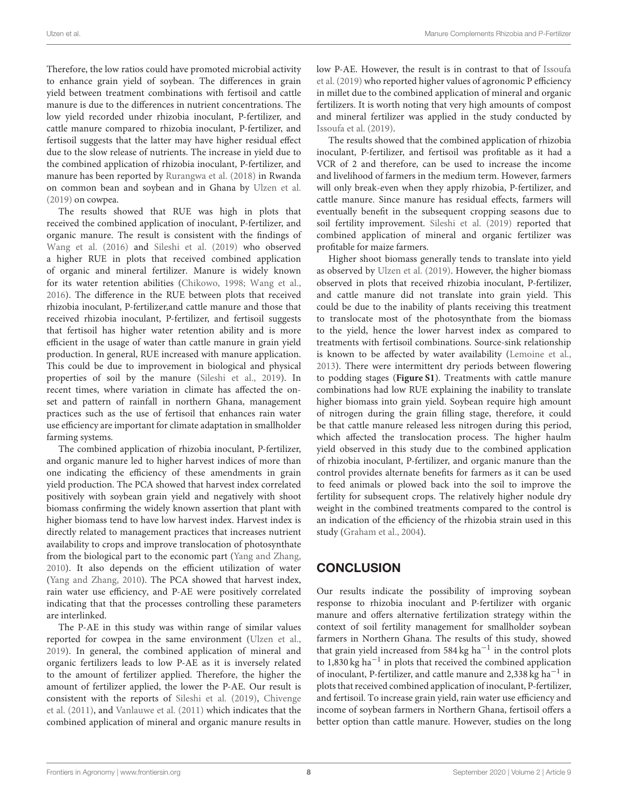Therefore, the low ratios could have promoted microbial activity to enhance grain yield of soybean. The differences in grain yield between treatment combinations with fertisoil and cattle manure is due to the differences in nutrient concentrations. The low yield recorded under rhizobia inoculant, P-fertilizer, and cattle manure compared to rhizobia inoculant, P-fertilizer, and fertisoil suggests that the latter may have higher residual effect due to the slow release of nutrients. The increase in yield due to the combined application of rhizobia inoculant, P-fertilizer, and manure has been reported by [Rurangwa et al. \(2018\)](#page-9-7) in Rwanda on common bean and soybean and in Ghana by [Ulzen et al.](#page-9-15) [\(2019\)](#page-9-15) on cowpea.

The results showed that RUE was high in plots that received the combined application of inoculant, P-fertilizer, and organic manure. The result is consistent with the findings of [Wang et al. \(2016\)](#page-9-13) and [Sileshi et al. \(2019\)](#page-9-18) who observed a higher RUE in plots that received combined application of organic and mineral fertilizer. Manure is widely known for its water retention abilities [\(Chikowo, 1998;](#page-8-20) [Wang et al.,](#page-9-13) [2016\)](#page-9-13). The difference in the RUE between plots that received rhizobia inoculant, P-fertilizer,and cattle manure and those that received rhizobia inoculant, P-fertilizer, and fertisoil suggests that fertisoil has higher water retention ability and is more efficient in the usage of water than cattle manure in grain yield production. In general, RUE increased with manure application. This could be due to improvement in biological and physical properties of soil by the manure [\(Sileshi et al., 2019\)](#page-9-18). In recent times, where variation in climate has affected the onset and pattern of rainfall in northern Ghana, management practices such as the use of fertisoil that enhances rain water use efficiency are important for climate adaptation in smallholder farming systems.

The combined application of rhizobia inoculant, P-fertilizer, and organic manure led to higher harvest indices of more than one indicating the efficiency of these amendments in grain yield production. The PCA showed that harvest index correlated positively with soybean grain yield and negatively with shoot biomass confirming the widely known assertion that plant with higher biomass tend to have low harvest index. Harvest index is directly related to management practices that increases nutrient availability to crops and improve translocation of photosynthate from the biological part to the economic part [\(Yang and Zhang,](#page-9-19) [2010\)](#page-9-19). It also depends on the efficient utilization of water [\(Yang and Zhang, 2010\)](#page-9-19). The PCA showed that harvest index, rain water use efficiency, and P-AE were positively correlated indicating that that the processes controlling these parameters are interlinked.

The P-AE in this study was within range of similar values reported for cowpea in the same environment [\(Ulzen et al.,](#page-9-15) [2019\)](#page-9-15). In general, the combined application of mineral and organic fertilizers leads to low P-AE as it is inversely related to the amount of fertilizer applied. Therefore, the higher the amount of fertilizer applied, the lower the P-AE. Our result is consistent with the reports of [Sileshi et al. \(2019\)](#page-9-18), Chivenge et al. [\(2011\)](#page-8-21), and [Vanlauwe et al. \(2011\)](#page-9-14) which indicates that the combined application of mineral and organic manure results in low P-AE. However, the result is in contrast to that of Issoufa et al. [\(2019\)](#page-8-19) who reported higher values of agronomic P efficiency in millet due to the combined application of mineral and organic fertilizers. It is worth noting that very high amounts of compost and mineral fertilizer was applied in the study conducted by [Issoufa et al. \(2019\)](#page-8-19).

The results showed that the combined application of rhizobia inoculant, P-fertilizer, and fertisoil was profitable as it had a VCR of 2 and therefore, can be used to increase the income and livelihood of farmers in the medium term. However, farmers will only break-even when they apply rhizobia, P-fertilizer, and cattle manure. Since manure has residual effects, farmers will eventually benefit in the subsequent cropping seasons due to soil fertility improvement. [Sileshi et al. \(2019\)](#page-9-18) reported that combined application of mineral and organic fertilizer was profitable for maize farmers.

Higher shoot biomass generally tends to translate into yield as observed by [Ulzen et al. \(2019\)](#page-9-15). However, the higher biomass observed in plots that received rhizobia inoculant, P-fertilizer, and cattle manure did not translate into grain yield. This could be due to the inability of plants receiving this treatment to translocate most of the photosynthate from the biomass to the yield, hence the lower harvest index as compared to treatments with fertisoil combinations. Source-sink relationship is known to be affected by water availability [\(Lemoine et al.,](#page-8-22) [2013\)](#page-8-22). There were intermittent dry periods between flowering to podding stages (**[Figure S1](#page-8-13)**). Treatments with cattle manure combinations had low RUE explaining the inability to translate higher biomass into grain yield. Soybean require high amount of nitrogen during the grain filling stage, therefore, it could be that cattle manure released less nitrogen during this period, which affected the translocation process. The higher haulm yield observed in this study due to the combined application of rhizobia inoculant, P-fertilizer, and organic manure than the control provides alternate benefits for farmers as it can be used to feed animals or plowed back into the soil to improve the fertility for subsequent crops. The relatively higher nodule dry weight in the combined treatments compared to the control is an indication of the efficiency of the rhizobia strain used in this study [\(Graham et al., 2004\)](#page-8-23).

# **CONCLUSION**

Our results indicate the possibility of improving soybean response to rhizobia inoculant and P-fertilizer with organic manure and offers alternative fertilization strategy within the context of soil fertility management for smallholder soybean farmers in Northern Ghana. The results of this study, showed that grain yield increased from 584 kg ha−<sup>1</sup> in the control plots to 1,830 kg ha−<sup>1</sup> in plots that received the combined application of inoculant, P-fertilizer, and cattle manure and 2,338 kg ha−<sup>1</sup> in plots that received combined application of inoculant, P-fertilizer, and fertisoil. To increase grain yield, rain water use efficiency and income of soybean farmers in Northern Ghana, fertisoil offers a better option than cattle manure. However, studies on the long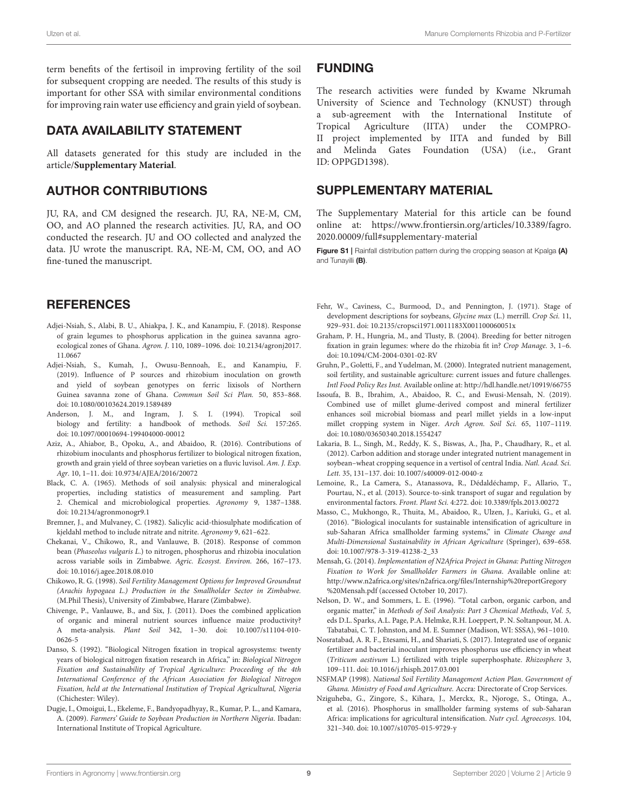term benefits of the fertisoil in improving fertility of the soil for subsequent cropping are needed. The results of this study is important for other SSA with similar environmental conditions for improving rain water use efficiency and grain yield of soybean.

#### DATA AVAILABILITY STATEMENT

All datasets generated for this study are included in the article/**[Supplementary Material](#page-8-24)**.

### AUTHOR CONTRIBUTIONS

JU, RA, and CM designed the research. JU, RA, NE-M, CM, OO, and AO planned the research activities. JU, RA, and OO conducted the research. JU and OO collected and analyzed the data. JU wrote the manuscript. RA, NE-M, CM, OO, and AO fine-tuned the manuscript.

# **REFERENCES**

- <span id="page-8-5"></span>Adjei-Nsiah, S., Alabi, B. U., Ahiakpa, J. K., and Kanampiu, F. (2018). Response of grain legumes to phosphorus application in the guinea savanna agroecological zones of Ghana. Agron. J[. 110, 1089–1096. doi: 10.2134/agronj2017.](https://doi.org/10.2134/agronj2017.11.0667) 11.0667
- <span id="page-8-0"></span>Adjei-Nsiah, S., Kumah, J., Owusu-Bennoah, E., and Kanampiu, F. (2019). Influence of P sources and rhizobium inoculation on growth and yield of soybean genotypes on ferric lixisols of Northern Guinea savanna zone of Ghana. Commun Soil Sci Plan. 50, 853–868. doi: [10.1080/00103624.2019.1589489](https://doi.org/10.1080/00103624.2019.1589489)
- <span id="page-8-17"></span>Anderson, J. M., and Ingram, J. S. I. (1994). Tropical soil biology and fertility: a handbook of methods. Soil Sci. 157:265. doi: [10.1097/00010694-199404000-00012](https://doi.org/10.1097/00010694-199404000-00012)
- <span id="page-8-6"></span>Aziz, A., Ahiabor, B., Opoku, A., and Abaidoo, R. (2016). Contributions of rhizobium inoculants and phosphorus fertilizer to biological nitrogen fixation, growth and grain yield of three soybean varieties on a fluvic luvisol. Am. J. Exp. Agr. 10, 1–11. doi: [10.9734/AJEA/2016/20072](https://doi.org/10.9734/AJEA/2016/20072)
- <span id="page-8-16"></span>Black, C. A. (1965). Methods of soil analysis: physical and mineralogical properties, including statistics of measurement and sampling. Part 2. Chemical and microbiological properties. Agronomy 9, 1387–1388. doi: [10.2134/agronmonogr9.1](https://doi.org/10.2134/agronmonogr9.1)
- <span id="page-8-15"></span>Bremner, J., and Mulvaney, C. (1982). Salicylic acid-thiosulphate modification of kjeldahl method to include nitrate and nitrite. Agronomy 9, 621–622.
- <span id="page-8-8"></span>Chekanai, V., Chikowo, R., and Vanlauwe, B. (2018). Response of common bean (Phaseolus vulgaris L.) to nitrogen, phosphorus and rhizobia inoculation across variable soils in Zimbabwe. Agric. Ecosyst. Environ. 266, 167–173. doi: [10.1016/j.agee.2018.08.010](https://doi.org/10.1016/j.agee.2018.08.010)
- <span id="page-8-20"></span>Chikowo, R. G. (1998). Soil Fertility Management Options for Improved Groundnut (Arachis hypogaea L.) Production in the Smallholder Sector in Zimbabwe. (M.Phil Thesis), University of Zimbabwe, Harare (Zimbabwe).
- <span id="page-8-21"></span>Chivenge, P., Vanlauwe, B., and Six, J. (2011). Does the combined application of organic and mineral nutrient sources influence maize productivity? A meta-analysis. Plant Soil [342, 1–30. doi: 10.1007/s11104-010-](https://doi.org/10.1007/s11104-010-0626-5) 0626-5
- <span id="page-8-3"></span>Danso, S. (1992). "Biological Nitrogen fixation in tropical agrosystems: twenty years of biological nitrogen fixation research in Africa," in: Biological Nitrogen Fixation and Sustainability of Tropical Agriculture: Proceeding of the 4th International Conference of the African Association for Biological Nitrogen Fixation, held at the International Institution of Tropical Agricultural, Nigeria (Chichester: Wiley).
- <span id="page-8-4"></span>Dugje, I., Omoigui, L., Ekeleme, F., Bandyopadhyay, R., Kumar, P. L., and Kamara, A. (2009). Farmers' Guide to Soybean Production in Northern Nigeria. Ibadan: International Institute of Tropical Agriculture.

### FUNDING

The research activities were funded by Kwame Nkrumah University of Science and Technology (KNUST) through a sub-agreement with the International Institute of Tropical Agriculture (IITA) under the COMPRO-II project implemented by IITA and funded by Bill and Melinda Gates Foundation (USA) (i.e., Grant ID: OPPGD1398).

### SUPPLEMENTARY MATERIAL

<span id="page-8-24"></span>The Supplementary Material for this article can be found [online at: https://www.frontiersin.org/articles/10.3389/fagro.](https://www.frontiersin.org/articles/10.3389/fagro.2020.00009/full#supplementary-material) 2020.00009/full#supplementary-material

<span id="page-8-13"></span>Figure S1 | Rainfall distribution pattern during the cropping season at Kpalga (A) and Tunayilli (B).

- <span id="page-8-18"></span>Fehr, W., Caviness, C., Burmood, D., and Pennington, J. (1971). Stage of development descriptions for soybeans, Glycine max (L.) merrill. Crop Sci. 11, 929–931. doi: [10.2135/cropsci1971.0011183X001100060051x](https://doi.org/10.2135/cropsci1971.0011183X001100060051x)
- <span id="page-8-23"></span>Graham, P. H., Hungria, M., and Tlusty, B. (2004). Breeding for better nitrogen fixation in grain legumes: where do the rhizobia fit in? Crop Manage. 3, 1–6. doi: [10.1094/CM-2004-0301-02-RV](https://doi.org/10.1094/CM-2004-0301-02-RV)
- <span id="page-8-9"></span>Gruhn, P., Goletti, F., and Yudelman, M. (2000). Integrated nutrient management, soil fertility, and sustainable agriculture: current issues and future challenges. Intl Food Policy Res Inst. Available online at:<http://hdl.handle.net/10919/66755>
- <span id="page-8-19"></span>Issoufa, B. B., Ibrahim, A., Abaidoo, R. C., and Ewusi-Mensah, N. (2019). Combined use of millet glume-derived compost and mineral fertilizer enhances soil microbial biomass and pearl millet yields in a low-input millet cropping system in Niger. Arch Agron. Soil Sci. 65, 1107–1119. doi: [10.1080/03650340.2018.1554247](https://doi.org/10.1080/03650340.2018.1554247)
- <span id="page-8-10"></span>Lakaria, B. L., Singh, M., Reddy, K. S., Biswas, A., Jha, P., Chaudhary, R., et al. (2012). Carbon addition and storage under integrated nutrient management in soybean–wheat cropping sequence in a vertisol of central India. Natl. Acad. Sci. Lett. 35, 131–137. doi: [10.1007/s40009-012-0040-z](https://doi.org/10.1007/s40009-012-0040-z)
- <span id="page-8-22"></span>Lemoine, R., La Camera, S., Atanassova, R., Dédaldéchamp, F., Allario, T., Pourtau, N., et al. (2013). Source-to-sink transport of sugar and regulation by environmental factors. Front. Plant Sci. 4:272. doi: [10.3389/fpls.2013.00272](https://doi.org/10.3389/fpls.2013.00272)
- <span id="page-8-2"></span>Masso, C., Mukhongo, R., Thuita, M., Abaidoo, R., Ulzen, J., Kariuki, G., et al. (2016). "Biological inoculants for sustainable intensification of agriculture in sub-Saharan Africa smallholder farming systems," in Climate Change and Multi-Dimensional Sustainability in African Agriculture (Springer), 639–658. doi: [10.1007/978-3-319-41238-2\\_33](https://doi.org/10.1007/978-3-319-41238-2_33)
- <span id="page-8-1"></span>Mensah, G. (2014). Implementation of N2Africa Project in Ghana: Putting Nitrogen Fixation to Work for Smallholder Farmers in Ghana. Available online at: [http://www.n2africa.org/sites/n2africa.org/files/Internship%20reportGregory](http://www.n2africa.org/sites/n2africa.org/files/Internship%20reportGregory%20Mensah.pdf) [%20Mensah.pdf](http://www.n2africa.org/sites/n2africa.org/files/Internship%20reportGregory%20Mensah.pdf) (accessed October 10, 2017).
- <span id="page-8-14"></span>Nelson, D. W., and Sommers, L. E. (1996). "Total carbon, organic carbon, and organic matter," in Methods of Soil Analysis: Part 3 Chemical Methods, Vol. 5, eds D.L. Sparks, A.L. Page, P.A. Helmke, R.H. Loeppert, P. N. Soltanpour, M. A. Tabatabai, C. T. Johnston, and M. E. Sumner (Madison, WI: SSSA), 961–1010.
- <span id="page-8-12"></span>Nosratabad, A. R. F., Etesami, H., and Shariati, S. (2017). Integrated use of organic fertilizer and bacterial inoculant improves phosphorus use efficiency in wheat (Triticum aestivum L.) fertilized with triple superphosphate. Rhizosphere 3, 109–111. doi: [10.1016/j.rhisph.2017.03.001](https://doi.org/10.1016/j.rhisph.2017.03.001)
- <span id="page-8-7"></span>NSFMAP (1998). National Soil Fertility Management Action Plan. Government of Ghana. Ministry of Food and Agriculture. Accra: Directorate of Crop Services.
- <span id="page-8-11"></span>Nziguheba, G., Zingore, S., Kihara, J., Merckx, R., Njoroge, S., Otinga, A., et al. (2016). Phosphorus in smallholder farming systems of sub-Saharan Africa: implications for agricultural intensification. Nutr cycl. Agroecosys. 104, 321–340. doi: [10.1007/s10705-015-9729-y](https://doi.org/10.1007/s10705-015-9729-y)